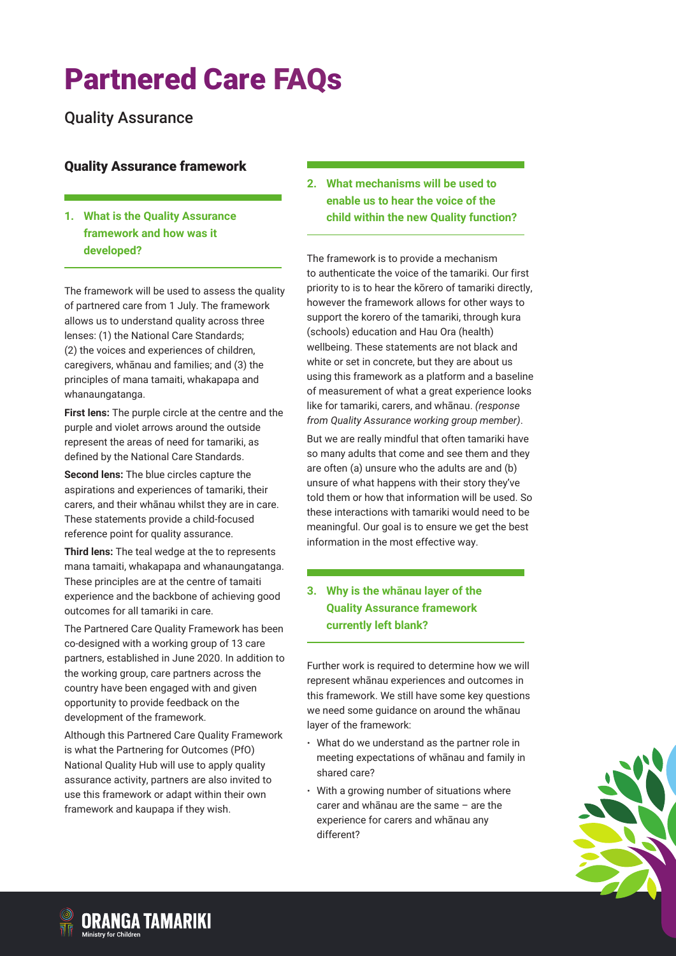Quality Assurance

## Quality Assurance framework

#### **1. What is the Quality Assurance framework and how was it developed?**

The framework will be used to assess the quality of partnered care from 1 July. The framework allows us to understand quality across three lenses: (1) the National Care Standards; (2) the voices and experiences of children, caregivers, whānau and families; and (3) the principles of mana tamaiti, whakapapa and whanaungatanga.

**First lens:** The purple circle at the centre and the purple and violet arrows around the outside represent the areas of need for tamariki, as defined by the National Care Standards.

**Second lens:** The blue circles capture the aspirations and experiences of tamariki, their carers, and their whānau whilst they are in care. These statements provide a child-focused reference point for quality assurance.

**Third lens:** The teal wedge at the to represents mana tamaiti, whakapapa and whanaungatanga. These principles are at the centre of tamaiti experience and the backbone of achieving good outcomes for all tamariki in care.

The Partnered Care Quality Framework has been co-designed with a working group of 13 care partners, established in June 2020. In addition to the working group, care partners across the country have been engaged with and given opportunity to provide feedback on the development of the framework.

Although this Partnered Care Quality Framework is what the Partnering for Outcomes (PfO) National Quality Hub will use to apply quality assurance activity, partners are also invited to use this framework or adapt within their own framework and kaupapa if they wish.

**2. What mechanisms will be used to enable us to hear the voice of the child within the new Quality function?**

The framework is to provide a mechanism to authenticate the voice of the tamariki. Our first priority to is to hear the kōrero of tamariki directly, however the framework allows for other ways to support the korero of the tamariki, through kura (schools) education and Hau Ora (health) wellbeing. These statements are not black and white or set in concrete, but they are about us using this framework as a platform and a baseline of measurement of what a great experience looks like for tamariki, carers, and whānau. *(response from Quality Assurance working group member)*.

But we are really mindful that often tamariki have so many adults that come and see them and they are often (a) unsure who the adults are and (b) unsure of what happens with their story they've told them or how that information will be used. So these interactions with tamariki would need to be meaningful. Our goal is to ensure we get the best information in the most effective way.

### **3. Why is the whānau layer of the Quality Assurance framework currently left blank?**

Further work is required to determine how we will represent whānau experiences and outcomes in this framework. We still have some key questions we need some guidance on around the whānau layer of the framework:

- · What do we understand as the partner role in meeting expectations of whānau and family in shared care?
- With a growing number of situations where carer and whānau are the same – are the experience for carers and whānau any different?

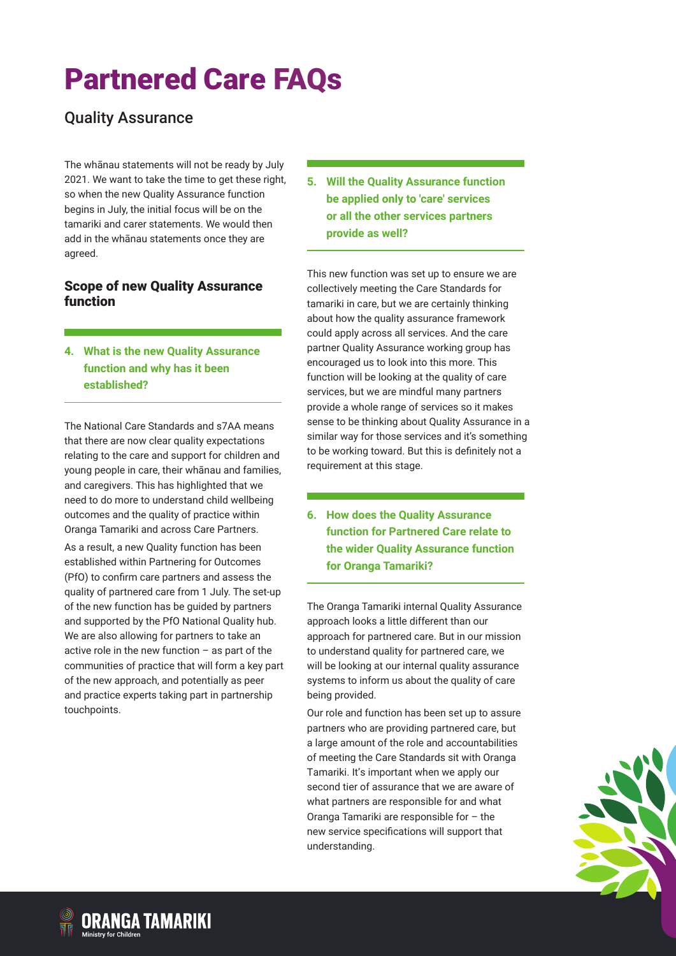## Quality Assurance

The whānau statements will not be ready by July 2021. We want to take the time to get these right, so when the new Quality Assurance function begins in July, the initial focus will be on the tamariki and carer statements. We would then add in the whānau statements once they are agreed.

#### Scope of new Quality Assurance function

**4. What is the new Quality Assurance function and why has it been established?**

The National Care Standards and s7AA means that there are now clear quality expectations relating to the care and support for children and young people in care, their whānau and families, and caregivers. This has highlighted that we need to do more to understand child wellbeing outcomes and the quality of practice within Oranga Tamariki and across Care Partners.

As a result, a new Quality function has been established within Partnering for Outcomes (PfO) to confirm care partners and assess the quality of partnered care from 1 July. The set-up of the new function has be guided by partners and supported by the PfO National Quality hub. We are also allowing for partners to take an active role in the new function – as part of the communities of practice that will form a key part of the new approach, and potentially as peer and practice experts taking part in partnership touchpoints.

**5. Will the Quality Assurance function be applied only to 'care' services or all the other services partners provide as well?**

This new function was set up to ensure we are collectively meeting the Care Standards for tamariki in care, but we are certainly thinking about how the quality assurance framework could apply across all services. And the care partner Quality Assurance working group has encouraged us to look into this more. This function will be looking at the quality of care services, but we are mindful many partners provide a whole range of services so it makes sense to be thinking about Quality Assurance in a similar way for those services and it's something to be working toward. But this is definitely not a requirement at this stage.

**6. How does the Quality Assurance function for Partnered Care relate to the wider Quality Assurance function for Oranga Tamariki?**

The Oranga Tamariki internal Quality Assurance approach looks a little different than our approach for partnered care. But in our mission to understand quality for partnered care, we will be looking at our internal quality assurance systems to inform us about the quality of care being provided.

Our role and function has been set up to assure partners who are providing partnered care, but a large amount of the role and accountabilities of meeting the Care Standards sit with Oranga Tamariki. It's important when we apply our second tier of assurance that we are aware of what partners are responsible for and what Oranga Tamariki are responsible for – the new service specifications will support that understanding.

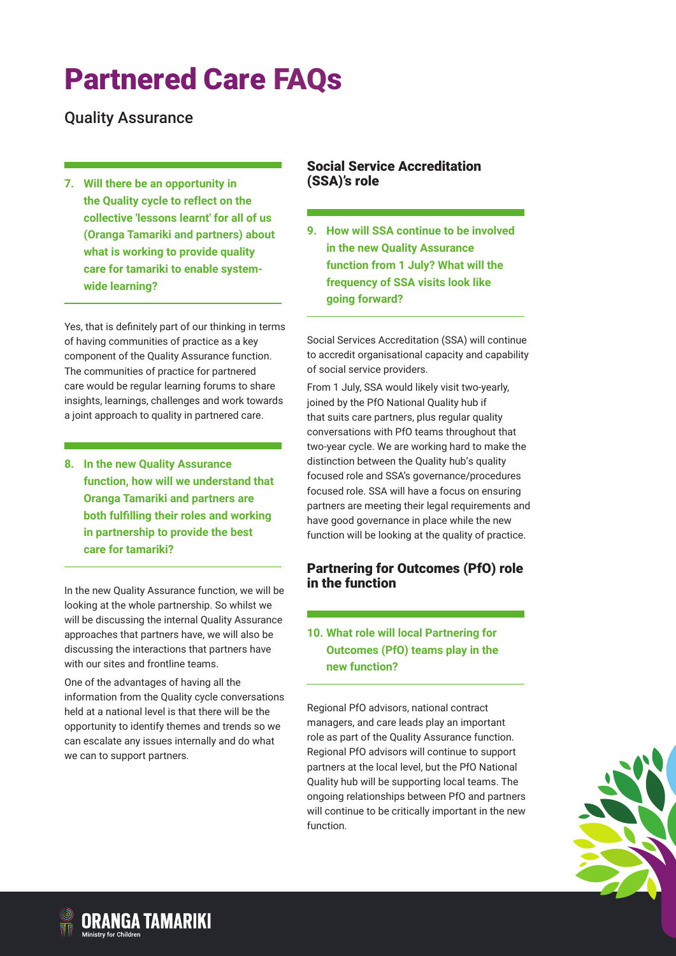Quality Assurance

**7. Will there be an opportunity in the Quality cycle to reflect on the collective 'lessons learnt' for all of us (Oranga Tamariki and partners) about what is working to provide quality care for tamariki to enable systemwide learning?**

Yes, that is definitely part of our thinking in terms of having communities of practice as a key component of the Quality Assurance function. The communities of practice for partnered care would be regular learning forums to share insights, learnings, challenges and work towards a joint approach to quality in partnered care.

**8. In the new Quality Assurance function, how will we understand that Oranga Tamariki and partners are both fulfilling their roles and working in partnership to provide the best care for tamariki?**

In the new Quality Assurance function, we will be looking at the whole partnership. So whilst we will be discussing the internal Quality Assurance approaches that partners have, we will also be discussing the interactions that partners have with our sites and frontline teams.

One of the advantages of having all the information from the Quality cycle conversations held at a national level is that there will be the opportunity to identify themes and trends so we can escalate any issues internally and do what we can to support partners.

#### Social Service Accreditation (SSA)'s role

**9. How will SSA continue to be involved in the new Quality Assurance function from 1 July? What will the frequency of SSA visits look like going forward?**

Social Services Accreditation (SSA) will continue to accredit organisational capacity and capability of social service providers.

From 1 July, SSA would likely visit two-yearly, joined by the PfO National Quality hub if that suits care partners, plus regular quality conversations with PfO teams throughout that two-year cycle. We are working hard to make the distinction between the Quality hub's quality focused role and SSA's governance/procedures focused role. SSA will have a focus on ensuring partners are meeting their legal requirements and have good governance in place while the new function will be looking at the quality of practice.

### Partnering for Outcomes (PfO) role in the function

## **10. What role will local Partnering for Outcomes (PfO) teams play in the new function?**

Regional PfO advisors, national contract managers, and care leads play an important role as part of the Quality Assurance function. Regional PfO advisors will continue to support partners at the local level, but the PfO National Quality hub will be supporting local teams. The ongoing relationships between PfO and partners will continue to be critically important in the new function.



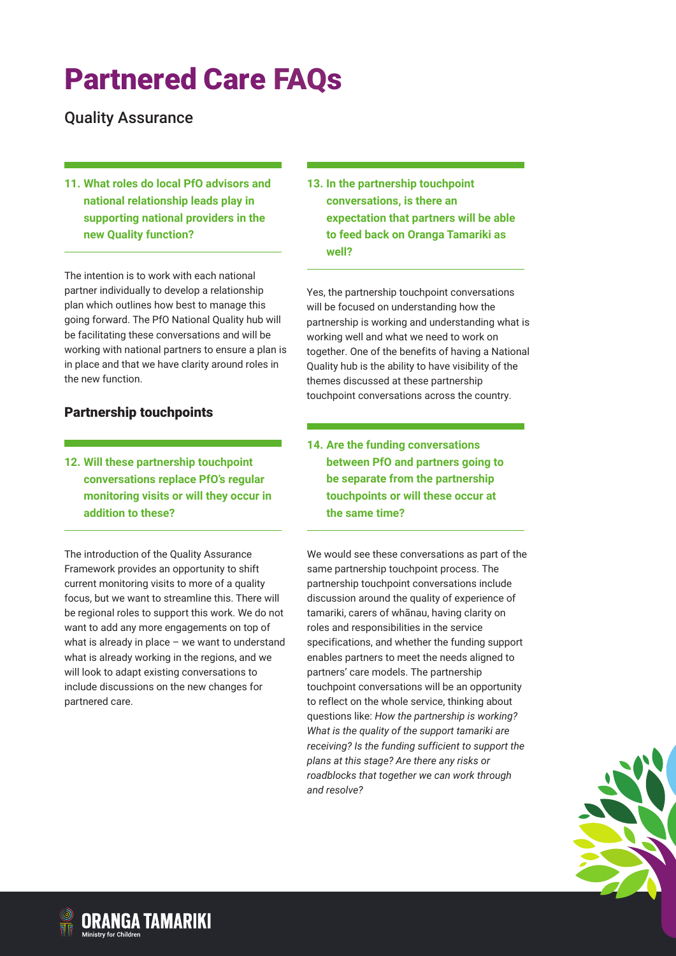Quality Assurance

**11. What roles do local PfO advisors and national relationship leads play in supporting national providers in the new Quality function?**

The intention is to work with each national partner individually to develop a relationship plan which outlines how best to manage this going forward. The PfO National Quality hub will be facilitating these conversations and will be working with national partners to ensure a plan is in place and that we have clarity around roles in the new function.

### Partnership touchpoints

**12. Will these partnership touchpoint conversations replace PfO's regular monitoring visits or will they occur in addition to these?**

The introduction of the Quality Assurance Framework provides an opportunity to shift current monitoring visits to more of a quality focus, but we want to streamline this. There will be regional roles to support this work. We do not want to add any more engagements on top of what is already in place – we want to understand what is already working in the regions, and we will look to adapt existing conversations to include discussions on the new changes for partnered care.

**13. In the partnership touchpoint conversations, is there an expectation that partners will be able to feed back on Oranga Tamariki as well?**

Yes, the partnership touchpoint conversations will be focused on understanding how the partnership is working and understanding what is working well and what we need to work on together. One of the benefits of having a National Quality hub is the ability to have visibility of the themes discussed at these partnership touchpoint conversations across the country.

**14. Are the funding conversations between PfO and partners going to be separate from the partnership touchpoints or will these occur at the same time?**

We would see these conversations as part of the same partnership touchpoint process. The partnership touchpoint conversations include discussion around the quality of experience of tamariki, carers of whānau, having clarity on roles and responsibilities in the service specifications, and whether the funding support enables partners to meet the needs aligned to partners' care models. The partnership touchpoint conversations will be an opportunity to reflect on the whole service, thinking about questions like: *How the partnership is working? What is the quality of the support tamariki are receiving? Is the funding sufficient to support the plans at this stage? Are there any risks or roadblocks that together we can work through and resolve?* 

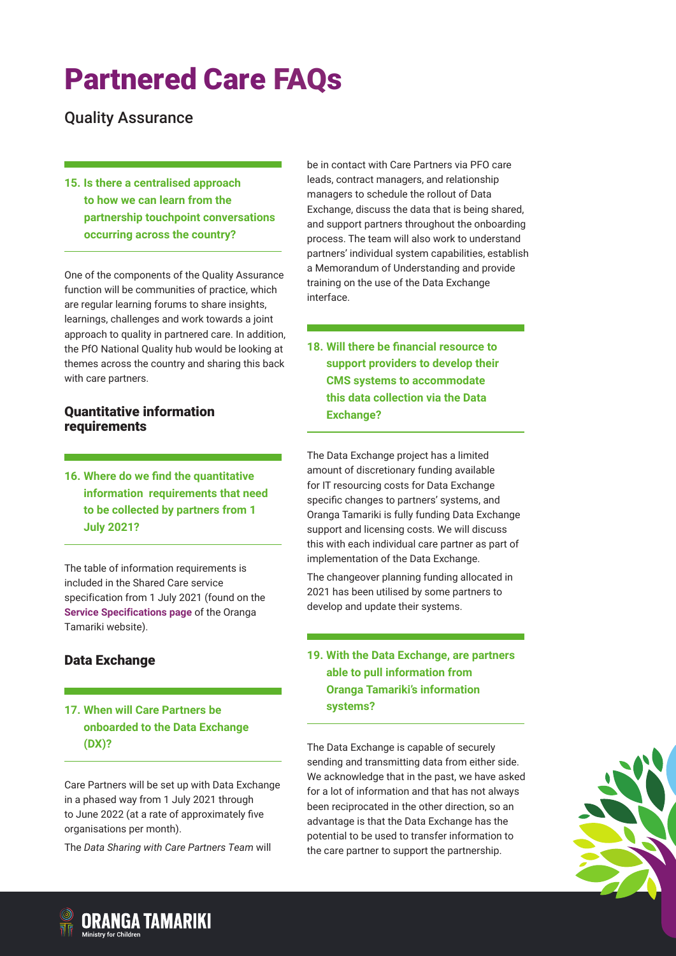Quality Assurance

**15. Is there a centralised approach to how we can learn from the partnership touchpoint conversations occurring across the country?**

One of the components of the Quality Assurance function will be communities of practice, which are regular learning forums to share insights, learnings, challenges and work towards a joint approach to quality in partnered care. In addition, the PfO National Quality hub would be looking at themes across the country and sharing this back with care partners.

#### Quantitative information requirements

**16. Where do we find the quantitative information requirements that need to be collected by partners from 1 July 2021?**

The table of information requirements is included in the Shared Care service specification from 1 July 2021 (found on the **[Service Specifications](https://orangatamariki.govt.nz/working-with-children/information-for-providers/partnered-care/service-specifications-and-care-model-summary) page** of the Oranga Tamariki website).

## Data Exchange

### **17. When will Care Partners be onboarded to the Data Exchange (DX)?**

Care Partners will be set up with Data Exchange in a phased way from 1 July 2021 through to June 2022 (at a rate of approximately five organisations per month).

The *Data Sharing with Care Partners Team* will

be in contact with Care Partners via PFO care leads, contract managers, and relationship managers to schedule the rollout of Data Exchange, discuss the data that is being shared, and support partners throughout the onboarding process. The team will also work to understand partners' individual system capabilities, establish a Memorandum of Understanding and provide training on the use of the Data Exchange interface.

**18. Will there be financial resource to support providers to develop their CMS systems to accommodate this data collection via the Data Exchange?**

The Data Exchange project has a limited amount of discretionary funding available for IT resourcing costs for Data Exchange specific changes to partners' systems, and Oranga Tamariki is fully funding Data Exchange support and licensing costs. We will discuss this with each individual care partner as part of implementation of the Data Exchange.

The changeover planning funding allocated in 2021 has been utilised by some partners to develop and update their systems.

### **19. With the Data Exchange, are partners able to pull information from Oranga Tamariki's information systems?**

The Data Exchange is capable of securely sending and transmitting data from either side. We acknowledge that in the past, we have asked for a lot of information and that has not always been reciprocated in the other direction, so an advantage is that the Data Exchange has the potential to be used to transfer information to the care partner to support the partnership.